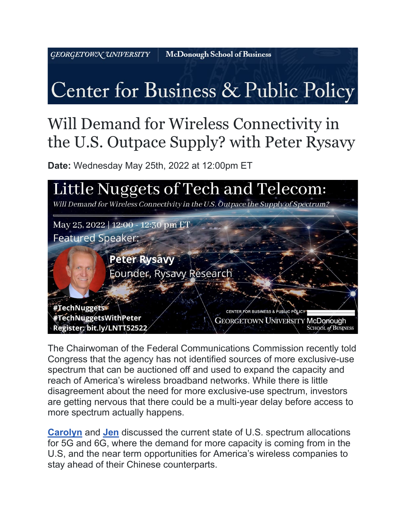GEORGETOWN UNIVERSITY

**McDonough School of Business** 

## Center for Business & Public Policy

## Will Demand for Wireless Connectivity in the U.S. Outpace Supply? with Peter Rysavy

**Date:** Wednesday May 25th, 2022 at 12:00pm ET



The Chairwoman of the Federal Communications Commission recently told Congress that the agency has not identified sources of more exclusive-use spectrum that can be auctioned off and used to expand the capacity and reach of America's wireless broadband networks. While there is little disagreement about the need for more exclusive-use spectrum, investors are getting nervous that there could be a multi-year delay before access to more spectrum actually happens.

**[Carolyn](https://cbpp.georgetown.edu/people/carolyn-brandon/)** and **[Jen](https://cbpp.georgetown.edu/people/jennifer-fritzsche/)** discussed the current state of U.S. spectrum allocations for 5G and 6G, where the demand for more capacity is coming from in the U.S, and the near term opportunities for America's wireless companies to stay ahead of their Chinese counterparts.